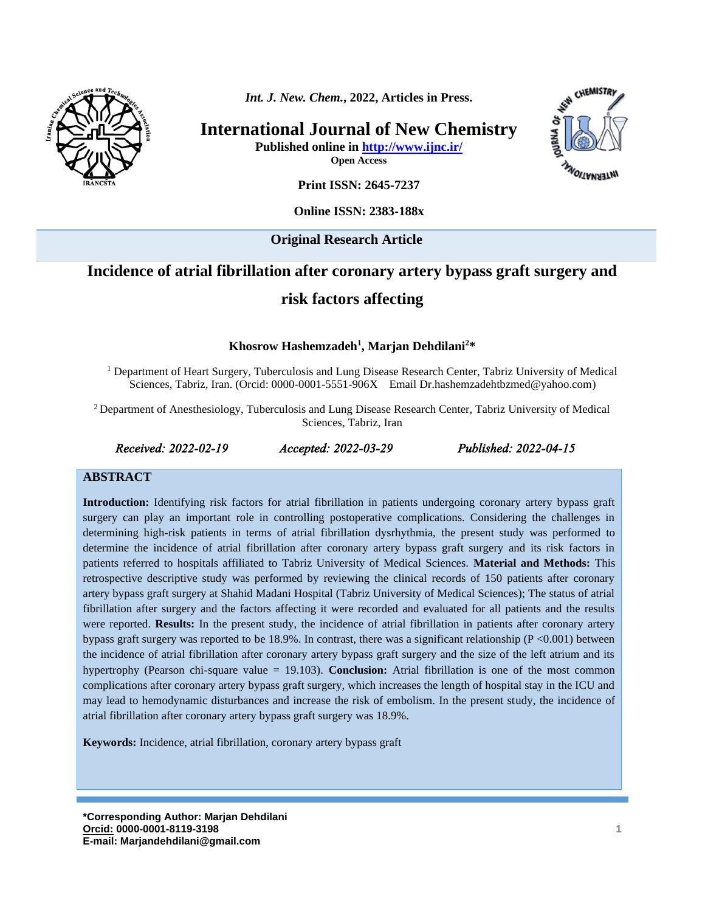

*Int. J. New. Chem.***, 2022, Articles in Press.**

**International Journal of New Chemistry**

**Published online in<http://www.ijnc.ir/> Open Access**



**Print ISSN: 2645-7237**

**Online ISSN: 2383-188x** 

**Original Research Article** 

# **Incidence of atrial fibrillation after coronary artery bypass graft surgery and risk factors affecting**

**Khosrow Hashemzadeh<sup>1</sup> , Marjan Dehdilani 2\***

<sup>1</sup> Department of Heart Surgery, Tuberculosis and Lung Disease Research Center, Tabriz University of Medical Sciences, Tabriz, Iran. (Orcid: 0000-0001-5551-906X Email [Dr.hashemzadehtbzmed@yahoo.com\)](mailto:Dr.hashemzadehtbzmed@yahoo.com)

<sup>2</sup> Department of Anesthesiology, Tuberculosis and Lung Disease Research Center, Tabriz University of Medical Sciences, Tabriz, Iran

*Received: 2022-02-19 Accepted: 2022-03-29 Published: 2022-04-15* 

#### **ABSTRACT**

**Introduction:** Identifying risk factors for atrial fibrillation in patients undergoing coronary artery bypass graft surgery can play an important role in controlling postoperative complications. Considering the challenges in determining high-risk patients in terms of atrial fibrillation dysrhythmia, the present study was performed to determine the incidence of atrial fibrillation after coronary artery bypass graft surgery and its risk factors in patients referred to hospitals affiliated to Tabriz University of Medical Sciences. **Material and Methods:** This retrospective descriptive study was performed by reviewing the clinical records of 150 patients after coronary artery bypass graft surgery at Shahid Madani Hospital (Tabriz University of Medical Sciences); The status of atrial fibrillation after surgery and the factors affecting it were recorded and evaluated for all patients and the results were reported. **Results:** In the present study, the incidence of atrial fibrillation in patients after coronary artery bypass graft surgery was reported to be 18.9%. In contrast, there was a significant relationship ( $P < 0.001$ ) between the incidence of atrial fibrillation after coronary artery bypass graft surgery and the size of the left atrium and its hypertrophy (Pearson chi-square value = 19.103). **Conclusion:** Atrial fibrillation is one of the most common complications after coronary artery bypass graft surgery, which increases the length of hospital stay in the ICU and may lead to hemodynamic disturbances and increase the risk of embolism. In the present study, the incidence of atrial fibrillation after coronary artery bypass graft surgery was 18.9%.

**Keywords:** Incidence, atrial fibrillation, coronary artery bypass graft

**\*Corresponding Author: Marjan Dehdilani [Orcid:](https://orcid.org/0000-0003-3231-9326) 0000-0001-8119-3198 E-mail: Marjandehdilani@gmail.com**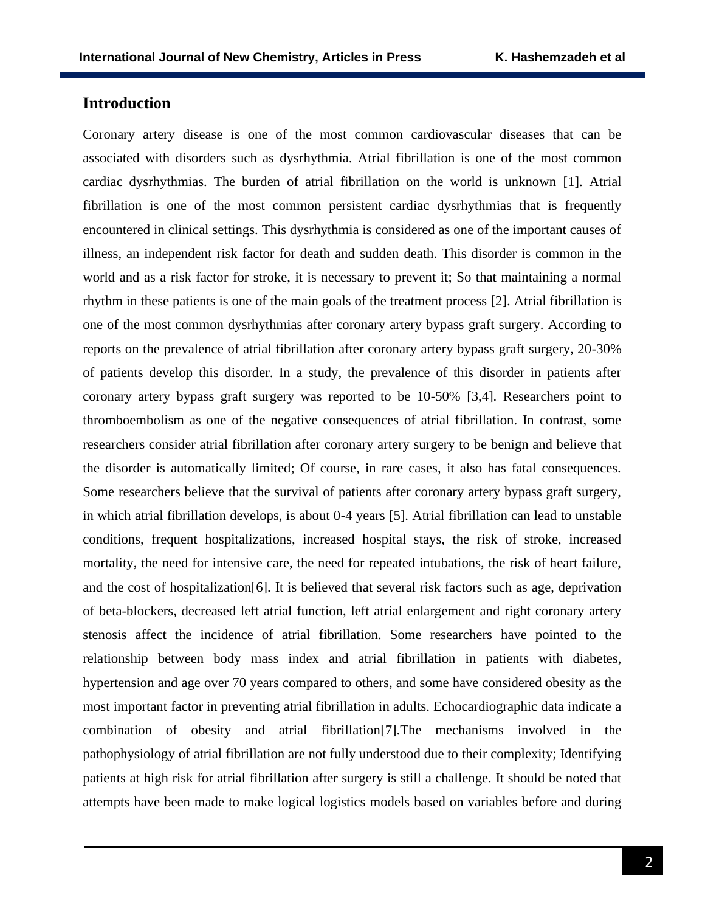## **Introduction**

Coronary artery disease is one of the most common cardiovascular diseases that can be associated with disorders such as dysrhythmia. Atrial fibrillation is one of the most common cardiac dysrhythmias. The burden of atrial fibrillation on the world is unknown [1]. Atrial fibrillation is one of the most common persistent cardiac dysrhythmias that is frequently encountered in clinical settings. This dysrhythmia is considered as one of the important causes of illness, an independent risk factor for death and sudden death. This disorder is common in the world and as a risk factor for stroke, it is necessary to prevent it; So that maintaining a normal rhythm in these patients is one of the main goals of the treatment process [2]. Atrial fibrillation is one of the most common dysrhythmias after coronary artery bypass graft surgery. According to reports on the prevalence of atrial fibrillation after coronary artery bypass graft surgery, 20-30% of patients develop this disorder. In a study, the prevalence of this disorder in patients after coronary artery bypass graft surgery was reported to be 10-50% [3,4]. Researchers point to thromboembolism as one of the negative consequences of atrial fibrillation. In contrast, some researchers consider atrial fibrillation after coronary artery surgery to be benign and believe that the disorder is automatically limited; Of course, in rare cases, it also has fatal consequences. Some researchers believe that the survival of patients after coronary artery bypass graft surgery, in which atrial fibrillation develops, is about 0-4 years [5]. Atrial fibrillation can lead to unstable conditions, frequent hospitalizations, increased hospital stays, the risk of stroke, increased mortality, the need for intensive care, the need for repeated intubations, the risk of heart failure, and the cost of hospitalization[6]. It is believed that several risk factors such as age, deprivation of beta-blockers, decreased left atrial function, left atrial enlargement and right coronary artery stenosis affect the incidence of atrial fibrillation. Some researchers have pointed to the relationship between body mass index and atrial fibrillation in patients with diabetes, hypertension and age over 70 years compared to others, and some have considered obesity as the most important factor in preventing atrial fibrillation in adults. Echocardiographic data indicate a combination of obesity and atrial fibrillation[7].The mechanisms involved in the pathophysiology of atrial fibrillation are not fully understood due to their complexity; Identifying patients at high risk for atrial fibrillation after surgery is still a challenge. It should be noted that attempts have been made to make logical logistics models based on variables before and during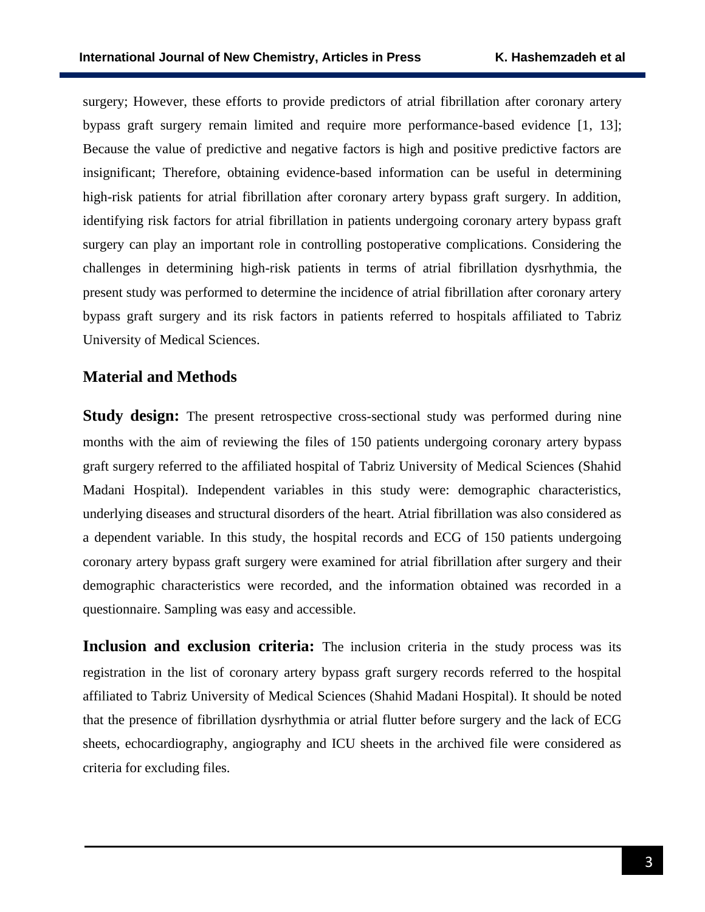surgery; However, these efforts to provide predictors of atrial fibrillation after coronary artery bypass graft surgery remain limited and require more performance-based evidence [1, 13]; Because the value of predictive and negative factors is high and positive predictive factors are insignificant; Therefore, obtaining evidence-based information can be useful in determining high-risk patients for atrial fibrillation after coronary artery bypass graft surgery. In addition, identifying risk factors for atrial fibrillation in patients undergoing coronary artery bypass graft surgery can play an important role in controlling postoperative complications. Considering the challenges in determining high-risk patients in terms of atrial fibrillation dysrhythmia, the present study was performed to determine the incidence of atrial fibrillation after coronary artery bypass graft surgery and its risk factors in patients referred to hospitals affiliated to Tabriz University of Medical Sciences.

## **Material and Methods**

**Study design:** The present retrospective cross-sectional study was performed during nine months with the aim of reviewing the files of 150 patients undergoing coronary artery bypass graft surgery referred to the affiliated hospital of Tabriz University of Medical Sciences (Shahid Madani Hospital). Independent variables in this study were: demographic characteristics, underlying diseases and structural disorders of the heart. Atrial fibrillation was also considered as a dependent variable. In this study, the hospital records and ECG of 150 patients undergoing coronary artery bypass graft surgery were examined for atrial fibrillation after surgery and their demographic characteristics were recorded, and the information obtained was recorded in a questionnaire. Sampling was easy and accessible.

**Inclusion and exclusion criteria:** The inclusion criteria in the study process was its registration in the list of coronary artery bypass graft surgery records referred to the hospital affiliated to Tabriz University of Medical Sciences (Shahid Madani Hospital). It should be noted that the presence of fibrillation dysrhythmia or atrial flutter before surgery and the lack of ECG sheets, echocardiography, angiography and ICU sheets in the archived file were considered as criteria for excluding files.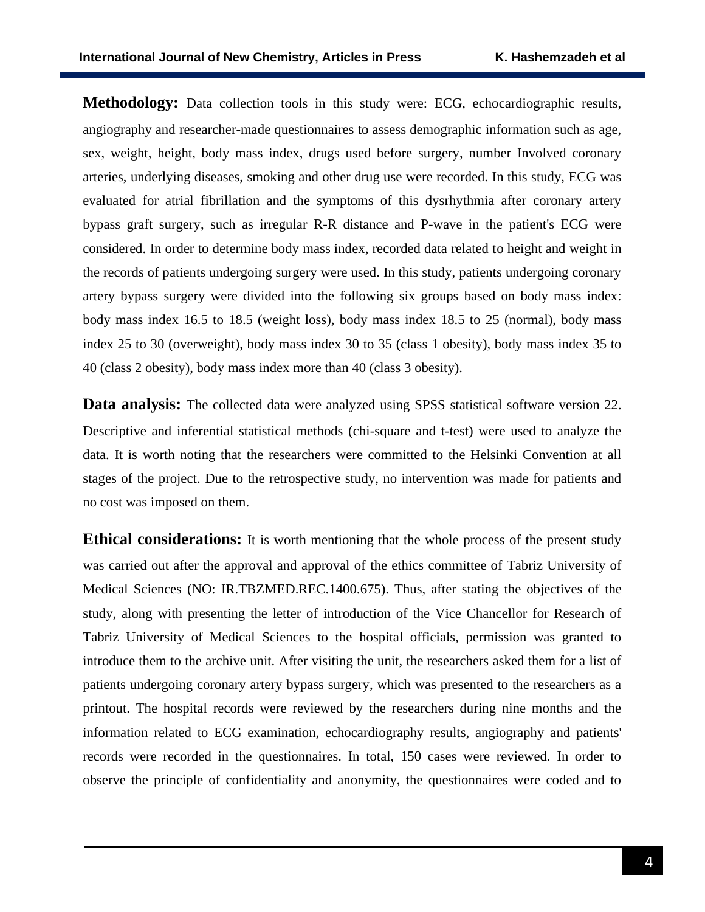**Methodology:** Data collection tools in this study were: ECG, echocardiographic results, angiography and researcher-made questionnaires to assess demographic information such as age, sex, weight, height, body mass index, drugs used before surgery, number Involved coronary arteries, underlying diseases, smoking and other drug use were recorded. In this study, ECG was evaluated for atrial fibrillation and the symptoms of this dysrhythmia after coronary artery bypass graft surgery, such as irregular R-R distance and P-wave in the patient's ECG were considered. In order to determine body mass index, recorded data related to height and weight in the records of patients undergoing surgery were used. In this study, patients undergoing coronary artery bypass surgery were divided into the following six groups based on body mass index: body mass index 16.5 to 18.5 (weight loss), body mass index 18.5 to 25 (normal), body mass index 25 to 30 (overweight), body mass index 30 to 35 (class 1 obesity), body mass index 35 to 40 (class 2 obesity), body mass index more than 40 (class 3 obesity).

**Data analysis:** The collected data were analyzed using SPSS statistical software version 22. Descriptive and inferential statistical methods (chi-square and t-test) were used to analyze the data. It is worth noting that the researchers were committed to the Helsinki Convention at all stages of the project. Due to the retrospective study, no intervention was made for patients and no cost was imposed on them.

**Ethical considerations:** It is worth mentioning that the whole process of the present study was carried out after the approval and approval of the ethics committee of Tabriz University of Medical Sciences (NO: [IR.TBZMED.REC.1400.675\)](http://ethics.research.ac.ir/IR.TBZMED.REC.1400.675). Thus, after stating the objectives of the study, along with presenting the letter of introduction of the Vice Chancellor for Research of Tabriz University of Medical Sciences to the hospital officials, permission was granted to introduce them to the archive unit. After visiting the unit, the researchers asked them for a list of patients undergoing coronary artery bypass surgery, which was presented to the researchers as a printout. The hospital records were reviewed by the researchers during nine months and the information related to ECG examination, echocardiography results, angiography and patients' records were recorded in the questionnaires. In total, 150 cases were reviewed. In order to observe the principle of confidentiality and anonymity, the questionnaires were coded and to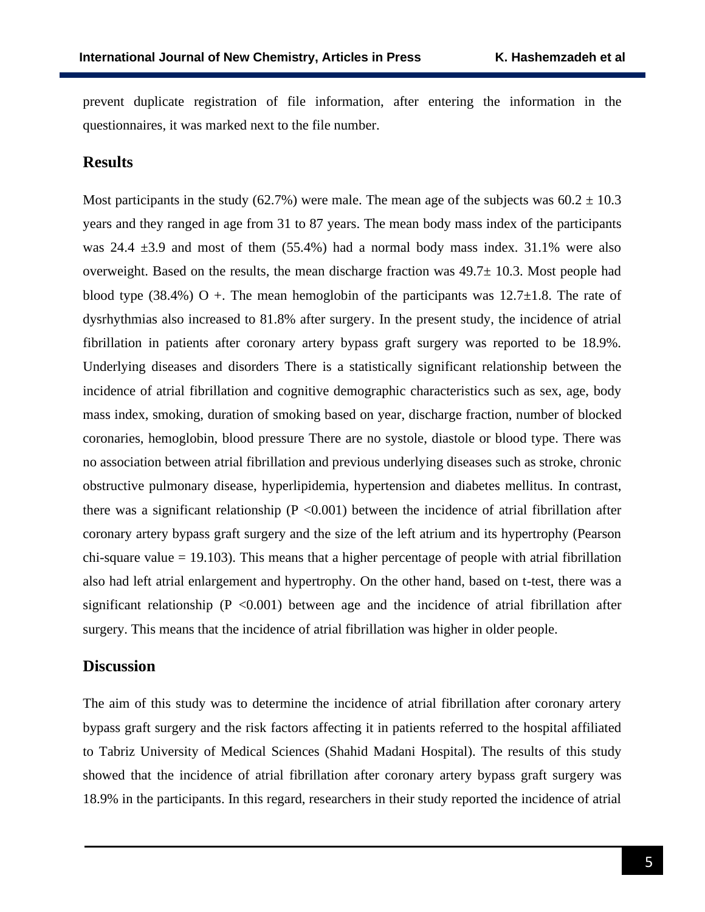prevent duplicate registration of file information, after entering the information in the questionnaires, it was marked next to the file number.

#### **Results**

Most participants in the study (62.7%) were male. The mean age of the subjects was  $60.2 \pm 10.3$ years and they ranged in age from 31 to 87 years. The mean body mass index of the participants was  $24.4 \pm 3.9$  and most of them  $(55.4\%)$  had a normal body mass index. 31.1% were also overweight. Based on the results, the mean discharge fraction was  $49.7\pm 10.3$ . Most people had blood type (38.4%) O +. The mean hemoglobin of the participants was  $12.7\pm1.8$ . The rate of dysrhythmias also increased to 81.8% after surgery. In the present study, the incidence of atrial fibrillation in patients after coronary artery bypass graft surgery was reported to be 18.9%. Underlying diseases and disorders There is a statistically significant relationship between the incidence of atrial fibrillation and cognitive demographic characteristics such as sex, age, body mass index, smoking, duration of smoking based on year, discharge fraction, number of blocked coronaries, hemoglobin, blood pressure There are no systole, diastole or blood type. There was no association between atrial fibrillation and previous underlying diseases such as stroke, chronic obstructive pulmonary disease, hyperlipidemia, hypertension and diabetes mellitus. In contrast, there was a significant relationship ( $P < 0.001$ ) between the incidence of atrial fibrillation after coronary artery bypass graft surgery and the size of the left atrium and its hypertrophy (Pearson  $chi$ -square value = 19.103). This means that a higher percentage of people with atrial fibrillation also had left atrial enlargement and hypertrophy. On the other hand, based on t-test, there was a significant relationship ( $P < 0.001$ ) between age and the incidence of atrial fibrillation after surgery. This means that the incidence of atrial fibrillation was higher in older people.

### **Discussion**

The aim of this study was to determine the incidence of atrial fibrillation after coronary artery bypass graft surgery and the risk factors affecting it in patients referred to the hospital affiliated to Tabriz University of Medical Sciences (Shahid Madani Hospital). The results of this study showed that the incidence of atrial fibrillation after coronary artery bypass graft surgery was 18.9% in the participants. In this regard, researchers in their study reported the incidence of atrial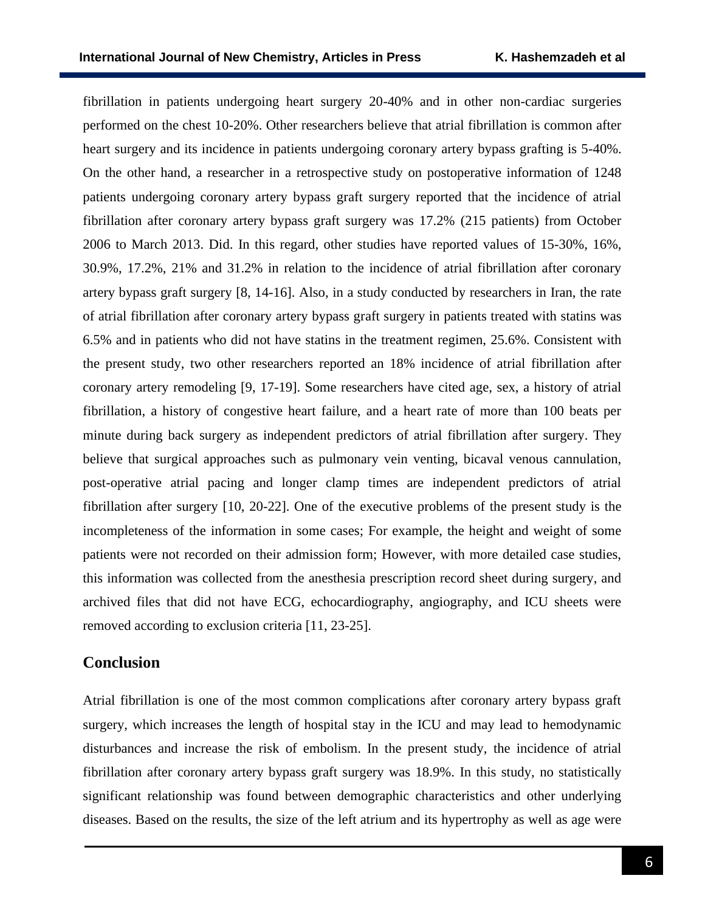fibrillation in patients undergoing heart surgery 20-40% and in other non-cardiac surgeries performed on the chest 10-20%. Other researchers believe that atrial fibrillation is common after heart surgery and its incidence in patients undergoing coronary artery bypass grafting is 5-40%. On the other hand, a researcher in a retrospective study on postoperative information of 1248 patients undergoing coronary artery bypass graft surgery reported that the incidence of atrial fibrillation after coronary artery bypass graft surgery was 17.2% (215 patients) from October 2006 to March 2013. Did. In this regard, other studies have reported values of 15-30%, 16%, 30.9%, 17.2%, 21% and 31.2% in relation to the incidence of atrial fibrillation after coronary artery bypass graft surgery [8, 14-16]. Also, in a study conducted by researchers in Iran, the rate of atrial fibrillation after coronary artery bypass graft surgery in patients treated with statins was 6.5% and in patients who did not have statins in the treatment regimen, 25.6%. Consistent with the present study, two other researchers reported an 18% incidence of atrial fibrillation after coronary artery remodeling [9, 17-19]. Some researchers have cited age, sex, a history of atrial fibrillation, a history of congestive heart failure, and a heart rate of more than 100 beats per minute during back surgery as independent predictors of atrial fibrillation after surgery. They believe that surgical approaches such as pulmonary vein venting, bicaval venous cannulation, post-operative atrial pacing and longer clamp times are independent predictors of atrial fibrillation after surgery [10, 20-22]. One of the executive problems of the present study is the incompleteness of the information in some cases; For example, the height and weight of some patients were not recorded on their admission form; However, with more detailed case studies, this information was collected from the anesthesia prescription record sheet during surgery, and archived files that did not have ECG, echocardiography, angiography, and ICU sheets were removed according to exclusion criteria [11, 23-25].

## **Conclusion**

Atrial fibrillation is one of the most common complications after coronary artery bypass graft surgery, which increases the length of hospital stay in the ICU and may lead to hemodynamic disturbances and increase the risk of embolism. In the present study, the incidence of atrial fibrillation after coronary artery bypass graft surgery was 18.9%. In this study, no statistically significant relationship was found between demographic characteristics and other underlying diseases. Based on the results, the size of the left atrium and its hypertrophy as well as age were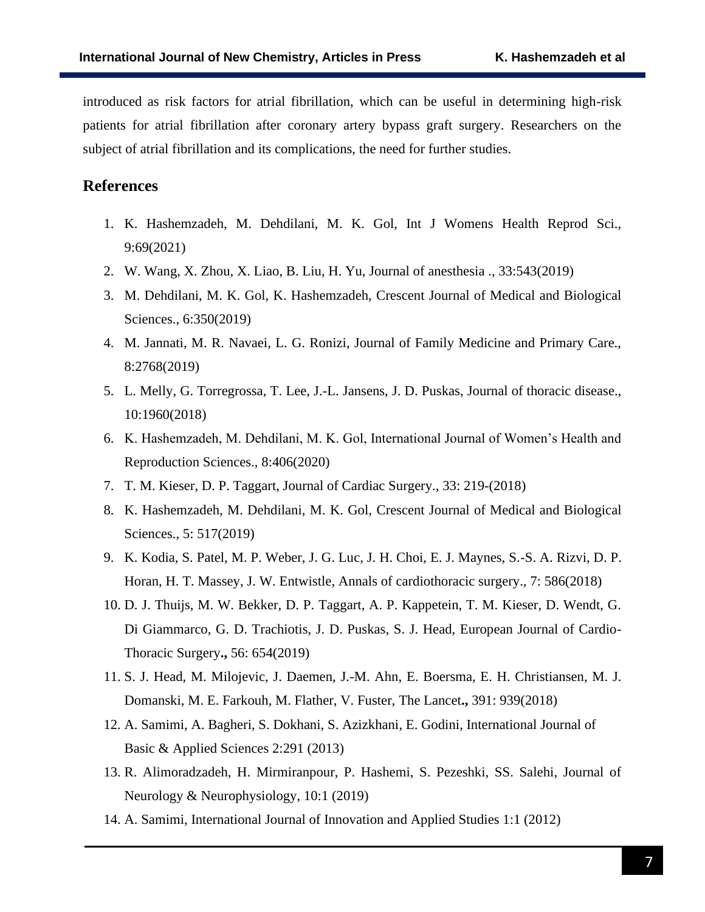introduced as risk factors for atrial fibrillation, which can be useful in determining high-risk patients for atrial fibrillation after coronary artery bypass graft surgery. Researchers on the subject of atrial fibrillation and its complications, the need for further studies.

## **References**

- 1. K. Hashemzadeh, M. Dehdilani, M. K. Gol, Int J Womens Health Reprod Sci., 9:69(2021)
- 2. W. Wang, X. Zhou, X. Liao, B. Liu, H. Yu, Journal of anesthesia ., 33:543(2019)
- 3. M. Dehdilani, M. K. Gol, K. Hashemzadeh, Crescent Journal of Medical and Biological Sciences., 6:350(2019)
- 4. M. Jannati, M. R. Navaei, L. G. Ronizi, Journal of Family Medicine and Primary Care., 8:2768(2019)
- 5. L. Melly, G. Torregrossa, T. Lee, J.-L. Jansens, J. D. Puskas, Journal of thoracic disease., 10:1960(2018)
- 6. K. Hashemzadeh, M. Dehdilani, M. K. Gol, International Journal of Women's Health and Reproduction Sciences., 8:406(2020)
- 7. T. M. Kieser, D. P. Taggart, Journal of Cardiac Surgery., 33: 219-(2018)
- 8. K. Hashemzadeh, M. Dehdilani, M. K. Gol, Crescent Journal of Medical and Biological Sciences., 5: 517(2019)
- 9. K. Kodia, S. Patel, M. P. Weber, J. G. Luc, J. H. Choi, E. J. Maynes, S.-S. A. Rizvi, D. P. Horan, H. T. Massey, J. W. Entwistle, Annals of cardiothoracic surgery., 7: 586(2018)
- 10. D. J. Thuijs, M. W. Bekker, D. P. Taggart, A. P. Kappetein, T. M. Kieser, D. Wendt, G. Di Giammarco, G. D. Trachiotis, J. D. Puskas, S. J. Head, European Journal of Cardio-Thoracic Surgery**.,** 56: 654(2019)
- 11. S. J. Head, M. Milojevic, J. Daemen, J.-M. Ahn, E. Boersma, E. H. Christiansen, M. J. Domanski, M. E. Farkouh, M. Flather, V. Fuster, The Lancet**.,** 391: 939(2018)
- 12. A. Samimi, A. Bagheri, S. Dokhani, S. Azizkhani, E. Godini, International Journal of Basic & Applied Sciences 2:291 (2013)
- 13. R. Alimoradzadeh, H. Mirmiranpour, P. Hashemi, S. Pezeshki, SS. Salehi, Journal of Neurology & Neurophysiology, 10:1 (2019)
- 14. A. Samimi, International Journal of Innovation and Applied Studies 1:1 (2012)